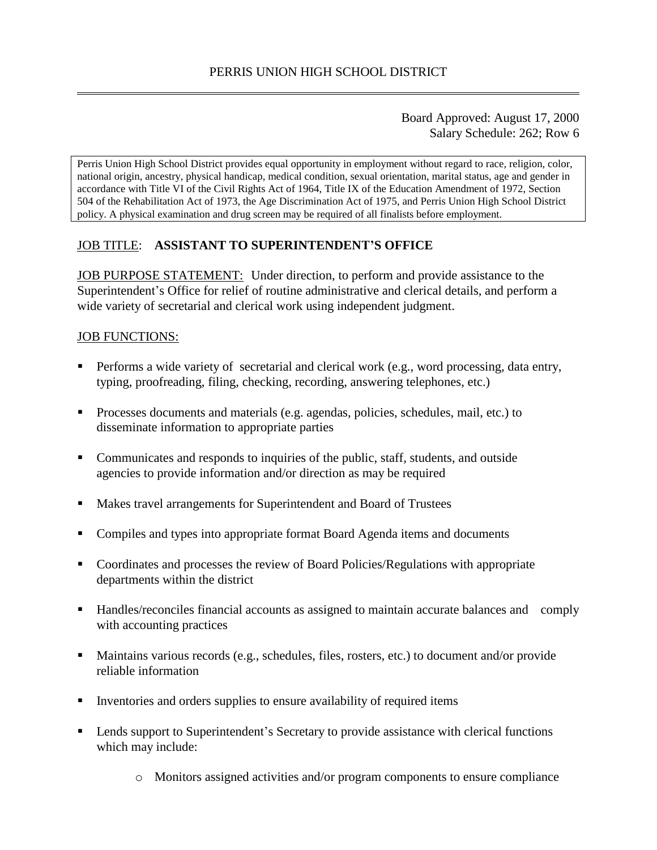## Board Approved: August 17, 2000 Salary Schedule: 262; Row 6

Perris Union High School District provides equal opportunity in employment without regard to race, religion, color, national origin, ancestry, physical handicap, medical condition, sexual orientation, marital status, age and gender in accordance with Title VI of the Civil Rights Act of 1964, Title IX of the Education Amendment of 1972, Section 504 of the Rehabilitation Act of 1973, the Age Discrimination Act of 1975, and Perris Union High School District policy. A physical examination and drug screen may be required of all finalists before employment.

# JOB TITLE: **ASSISTANT TO SUPERINTENDENT'S OFFICE**

JOB PURPOSE STATEMENT: Under direction, to perform and provide assistance to the Superintendent's Office for relief of routine administrative and clerical details, and perform a wide variety of secretarial and clerical work using independent judgment.

## JOB FUNCTIONS:

- **Performs a wide variety of secretarial and clerical work (e.g., word processing, data entry,** typing, proofreading, filing, checking, recording, answering telephones, etc.)
- **Processes documents and materials (e.g. agendas, policies, schedules, mail, etc.) to** disseminate information to appropriate parties
- Communicates and responds to inquiries of the public, staff, students, and outside agencies to provide information and/or direction as may be required
- Makes travel arrangements for Superintendent and Board of Trustees
- Compiles and types into appropriate format Board Agenda items and documents
- Coordinates and processes the review of Board Policies/Regulations with appropriate departments within the district
- Handles/reconciles financial accounts as assigned to maintain accurate balances and comply with accounting practices
- Maintains various records (e.g., schedules, files, rosters, etc.) to document and/or provide reliable information
- Inventories and orders supplies to ensure availability of required items
- **EXECUTE:** Lends support to Superintendent's Secretary to provide assistance with clerical functions which may include:
	- o Monitors assigned activities and/or program components to ensure compliance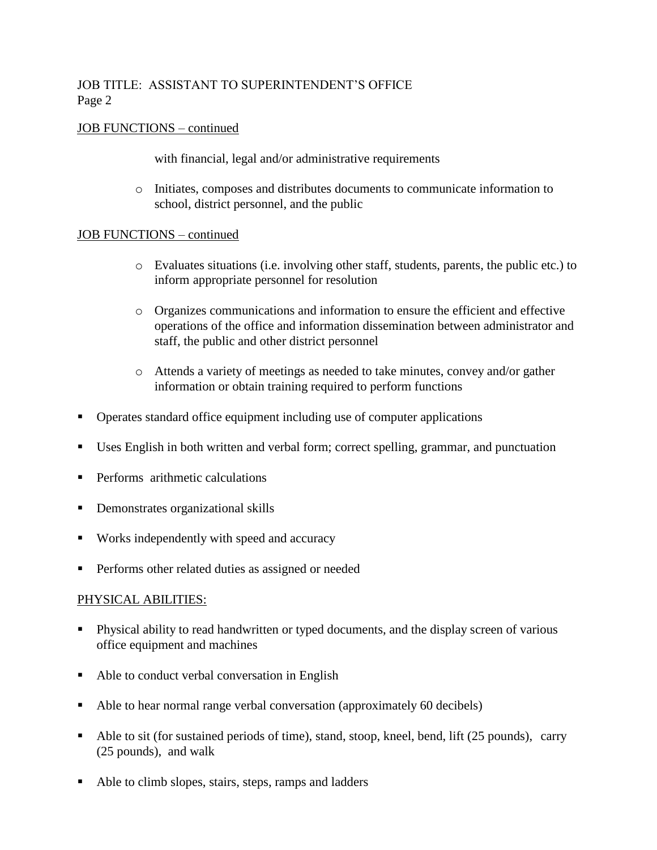# JOB TITLE: ASSISTANT TO SUPERINTENDENT'S OFFICE Page 2

## JOB FUNCTIONS – continued

with financial, legal and/or administrative requirements

o Initiates, composes and distributes documents to communicate information to school, district personnel, and the public

### JOB FUNCTIONS – continued

- o Evaluates situations (i.e. involving other staff, students, parents, the public etc.) to inform appropriate personnel for resolution
- o Organizes communications and information to ensure the efficient and effective operations of the office and information dissemination between administrator and staff, the public and other district personnel
- o Attends a variety of meetings as needed to take minutes, convey and/or gather information or obtain training required to perform functions
- Operates standard office equipment including use of computer applications
- Uses English in both written and verbal form; correct spelling, grammar, and punctuation
- **Performs** arithmetic calculations
- **Demonstrates organizational skills**
- Works independently with speed and accuracy
- **Performs other related duties as assigned or needed**

# PHYSICAL ABILITIES:

- **Physical ability to read handwritten or typed documents, and the display screen of various** office equipment and machines
- Able to conduct verbal conversation in English
- Able to hear normal range verbal conversation (approximately 60 decibels)
- Able to sit (for sustained periods of time), stand, stoop, kneel, bend, lift (25 pounds), carry (25 pounds), and walk
- Able to climb slopes, stairs, steps, ramps and ladders